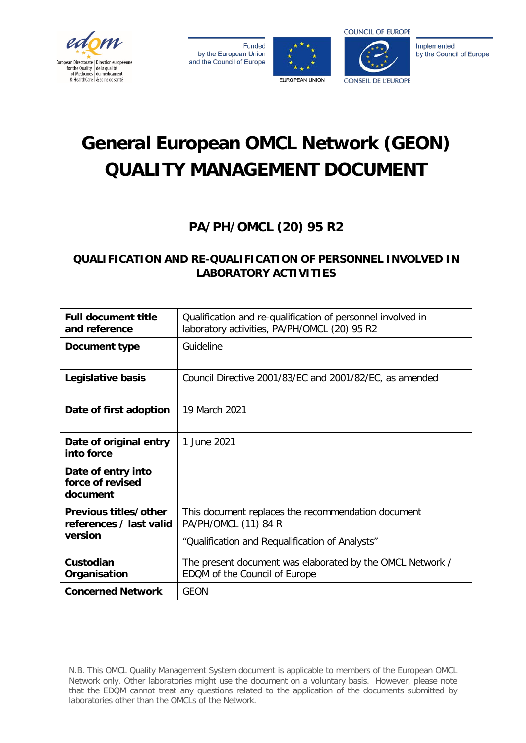

**Funded** by the European Union and the Council of Europe





Implemented by the Council of Europe

# **General European OMCL Network (GEON) QUALITY MANAGEMENT DOCUMENT**

## **PA/PH/OMCL (20) 95 R2**

### **QUALIFICATION AND RE-QUALIFICATION OF PERSONNEL INVOLVED IN LABORATORY ACTIVITIES**

| <b>Full document title</b><br>and reference                 | Qualification and re-qualification of personnel involved in<br>laboratory activities, PA/PH/OMCL (20) 95 R2                   |
|-------------------------------------------------------------|-------------------------------------------------------------------------------------------------------------------------------|
| Document type                                               | Guideline                                                                                                                     |
| Legislative basis                                           | Council Directive 2001/83/EC and 2001/82/EC, as amended                                                                       |
| Date of first adoption                                      | 19 March 2021                                                                                                                 |
| Date of original entry<br>into force                        | 1 June 2021                                                                                                                   |
| Date of entry into<br>force of revised<br>document          |                                                                                                                               |
| Previous titles/other<br>references / last valid<br>version | This document replaces the recommendation document<br>PA/PH/OMCL (11) 84 R<br>"Qualification and Requalification of Analysts" |
| Custodian<br>Organisation                                   | The present document was elaborated by the OMCL Network /<br>EDQM of the Council of Europe                                    |
| <b>Concerned Network</b>                                    | <b>GEON</b>                                                                                                                   |

N.B. This OMCL Quality Management System document is applicable to members of the European OMCL Network only. Other laboratories might use the document on a voluntary basis. However, please note that the EDQM cannot treat any questions related to the application of the documents submitted by laboratories other than the OMCLs of the Network.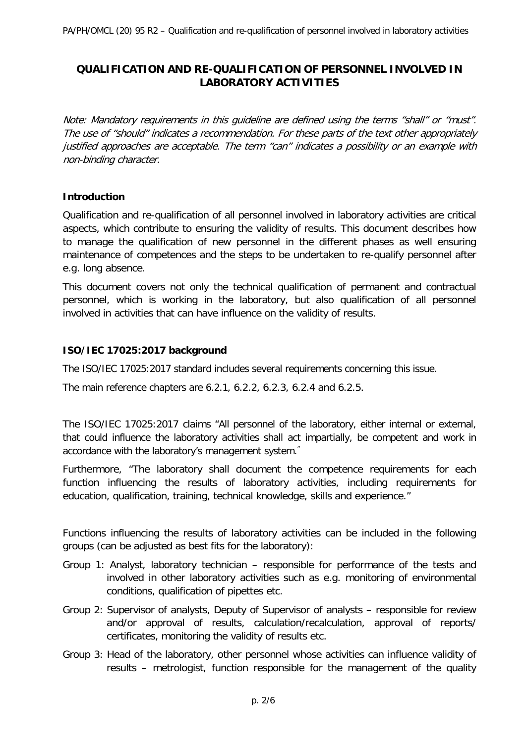#### **QUALIFICATION AND RE-QUALIFICATION OF PERSONNEL INVOLVED IN LABORATORY ACTIVITIES**

Note: Mandatory requirements in this guideline are defined using the terms "shall" or "must". The use of "should" indicates a recommendation. For these parts of the text other appropriately justified approaches are acceptable. The term "can" indicates a possibility or an example with non-binding character.

#### **Introduction**

Qualification and re-qualification of all personnel involved in laboratory activities are critical aspects, which contribute to ensuring the validity of results. This document describes how to manage the qualification of new personnel in the different phases as well ensuring maintenance of competences and the steps to be undertaken to re-qualify personnel after e.g. long absence.

This document covers not only the technical qualification of permanent and contractual personnel, which is working in the laboratory, but also qualification of all personnel involved in activities that can have influence on the validity of results.

#### **ISO/IEC 17025:2017 background**

The ISO/IEC 17025:2017 standard includes several requirements concerning this issue.

The main reference chapters are 6.2.1, 6.2.2, 6.2.3, 6.2.4 and 6.2.5.

The ISO/IEC 17025:2017 claims "All personnel of the laboratory, either internal or external, that could influence the laboratory activities shall act impartially, be competent and work in accordance with the laboratory's management system."

Furthermore, "The laboratory shall document the competence requirements for each function influencing the results of laboratory activities, including requirements for education, qualification, training, technical knowledge, skills and experience."

Functions influencing the results of laboratory activities can be included in the following groups (can be adjusted as best fits for the laboratory):

- Group 1: Analyst, laboratory technician responsible for performance of the tests and involved in other laboratory activities such as e.g. monitoring of environmental conditions, qualification of pipettes etc.
- Group 2: Supervisor of analysts, Deputy of Supervisor of analysts responsible for review and/or approval of results, calculation/recalculation, approval of reports/ certificates, monitoring the validity of results etc.
- Group 3: Head of the laboratory, other personnel whose activities can influence validity of results – metrologist, function responsible for the management of the quality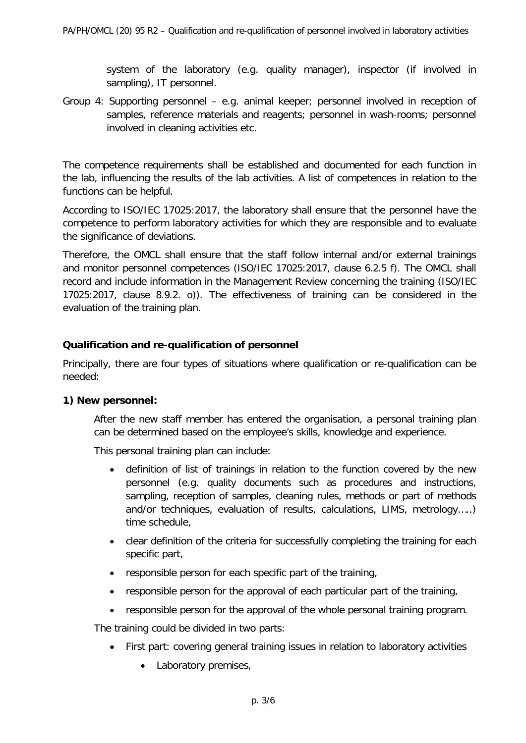system of the laboratory (e.g. quality manager), inspector (if involved in sampling), IT personnel.

Group 4: Supporting personnel – e.g. animal keeper; personnel involved in reception of samples, reference materials and reagents; personnel in wash-rooms; personnel involved in cleaning activities etc.

The competence requirements shall be established and documented for each function in the lab, influencing the results of the lab activities. A list of competences in relation to the functions can be helpful.

According to ISO/IEC 17025:2017, the laboratory shall ensure that the personnel have the competence to perform laboratory activities for which they are responsible and to evaluate the significance of deviations.

Therefore, the OMCL shall ensure that the staff follow internal and/or external trainings and monitor personnel competences (ISO/IEC 17025:2017, clause 6.2.5 f). The OMCL shall record and include information in the Management Review concerning the training (ISO/IEC 17025:2017, clause 8.9.2. o)). The effectiveness of training can be considered in the evaluation of the training plan.

#### **Qualification and re-qualification of personnel**

Principally, there are four types of situations where qualification or re-qualification can be needed:

#### **1) New personnel:**

After the new staff member has entered the organisation, a personal training plan can be determined based on the employee's skills, knowledge and experience.

This personal training plan can include:

- definition of list of trainings in relation to the function covered by the new personnel (e.g. quality documents such as procedures and instructions, sampling, reception of samples, cleaning rules, methods or part of methods and/or techniques, evaluation of results, calculations, LIMS, metrology…..) time schedule,
- clear definition of the criteria for successfully completing the training for each specific part,
- responsible person for each specific part of the training,
- responsible person for the approval of each particular part of the training,
- responsible person for the approval of the whole personal training program.

The training could be divided in two parts:

- First part: covering general training issues in relation to laboratory activities
	- Laboratory premises,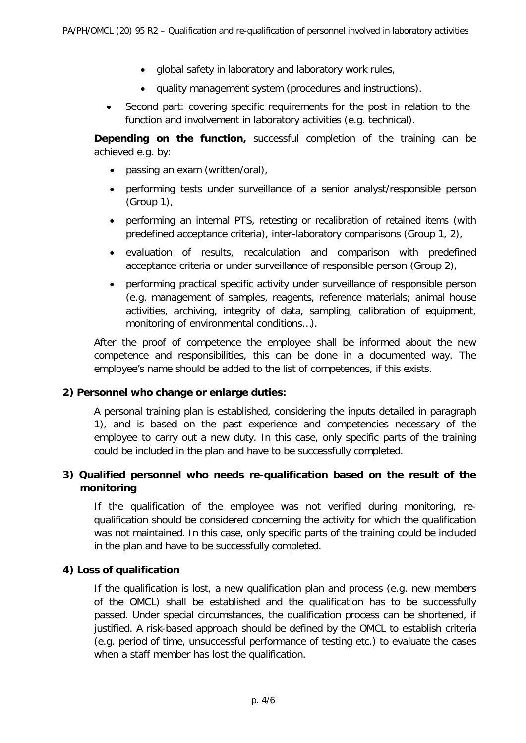- global safety in laboratory and laboratory work rules,
- quality management system (procedures and instructions).
- Second part: covering specific requirements for the post in relation to the function and involvement in laboratory activities (e.g. technical).

**Depending on the function,** successful completion of the training can be achieved e.g. by:

- passing an exam (written/oral),
- performing tests under surveillance of a senior analyst/responsible person (Group 1),
- performing an internal PTS, retesting or recalibration of retained items (with predefined acceptance criteria), inter-laboratory comparisons (Group 1, 2),
- evaluation of results, recalculation and comparison with predefined acceptance criteria or under surveillance of responsible person (Group 2),
- performing practical specific activity under surveillance of responsible person (e.g. management of samples, reagents, reference materials; animal house activities, archiving, integrity of data, sampling, calibration of equipment, monitoring of environmental conditions…).

After the proof of competence the employee shall be informed about the new competence and responsibilities, this can be done in a documented way. The employee's name should be added to the list of competences, if this exists.

#### **2) Personnel who change or enlarge duties:**

A personal training plan is established, considering the inputs detailed in paragraph 1), and is based on the past experience and competencies necessary of the employee to carry out a new duty. In this case, only specific parts of the training could be included in the plan and have to be successfully completed.

#### **3) Qualified personnel who needs re-qualification based on the result of the monitoring**

If the qualification of the employee was not verified during monitoring, requalification should be considered concerning the activity for which the qualification was not maintained. In this case, only specific parts of the training could be included in the plan and have to be successfully completed.

#### **4) Loss of qualification**

If the qualification is lost, a new qualification plan and process (e.g. new members of the OMCL) shall be established and the qualification has to be successfully passed. Under special circumstances, the qualification process can be shortened, if justified. A risk-based approach should be defined by the OMCL to establish criteria (e.g. period of time, unsuccessful performance of testing etc.) to evaluate the cases when a staff member has lost the qualification.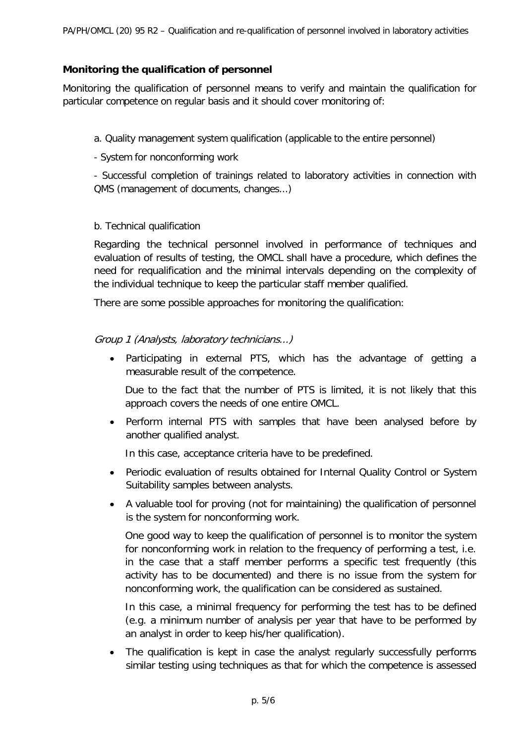#### **Monitoring the qualification of personnel**

Monitoring the qualification of personnel means to verify and maintain the qualification for particular competence on regular basis and it should cover monitoring of:

- a. Quality management system qualification (applicable to the entire personnel)
- System for nonconforming work

- Successful completion of trainings related to laboratory activities in connection with QMS (management of documents, changes...)

#### b. Technical qualification

Regarding the technical personnel involved in performance of techniques and evaluation of results of testing, the OMCL shall have a procedure, which defines the need for requalification and the minimal intervals depending on the complexity of the individual technique to keep the particular staff member qualified.

There are some possible approaches for monitoring the qualification:

#### Group 1 (Analysts, laboratory technicians...)

• Participating in external PTS, which has the advantage of getting a measurable result of the competence.

Due to the fact that the number of PTS is limited, it is not likely that this approach covers the needs of one entire OMCL.

• Perform internal PTS with samples that have been analysed before by another qualified analyst.

In this case, acceptance criteria have to be predefined.

- Periodic evaluation of results obtained for Internal Quality Control or System Suitability samples between analysts.
- A valuable tool for proving (not for maintaining) the qualification of personnel is the system for nonconforming work.

One good way to keep the qualification of personnel is to monitor the system for nonconforming work in relation to the frequency of performing a test, i.e. in the case that a staff member performs a specific test frequently (this activity has to be documented) and there is no issue from the system for nonconforming work, the qualification can be considered as sustained.

In this case, a minimal frequency for performing the test has to be defined (e.g. a minimum number of analysis per year that have to be performed by an analyst in order to keep his/her qualification).

• The qualification is kept in case the analyst regularly successfully performs similar testing using techniques as that for which the competence is assessed